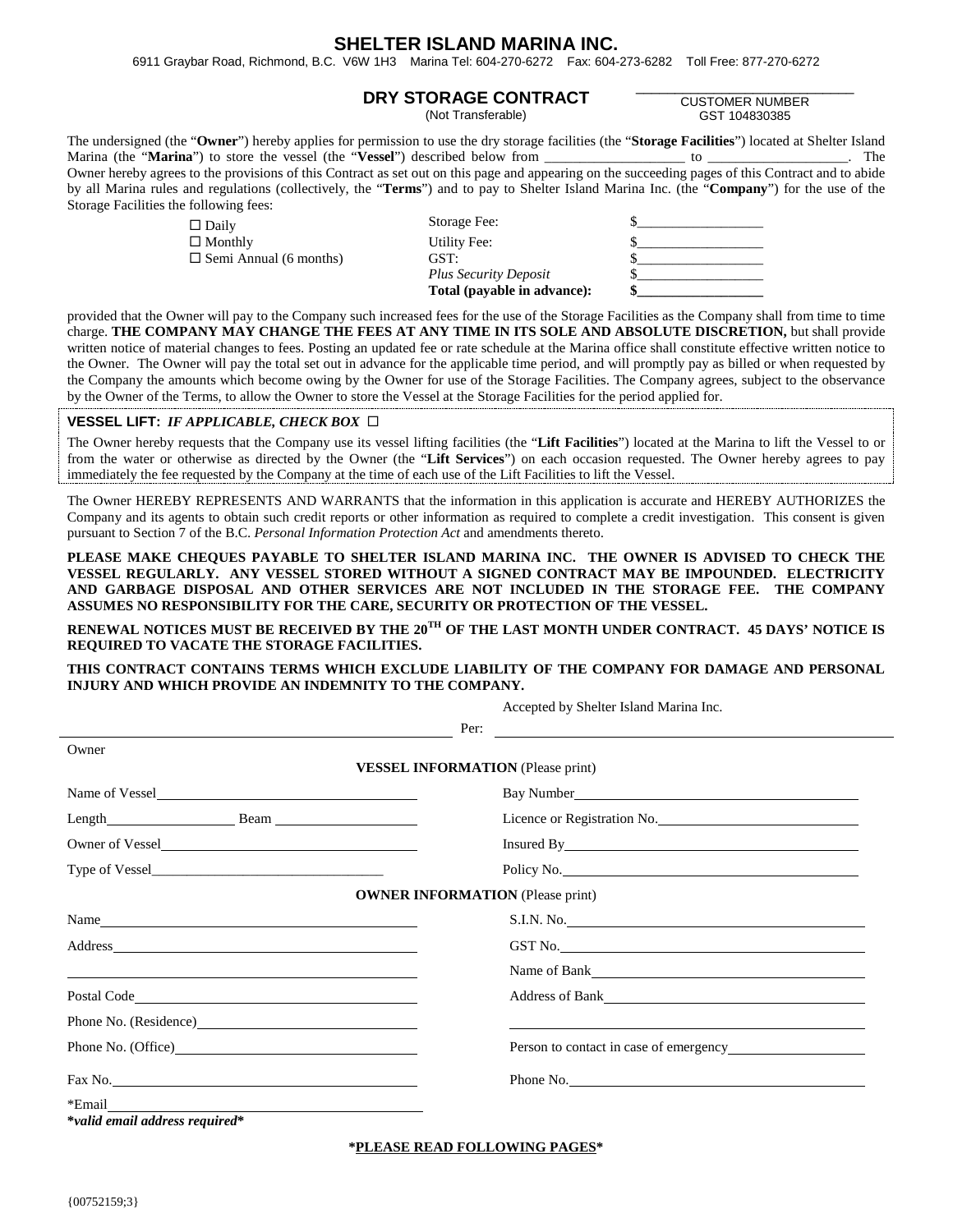# **SHELTER ISLAND MARINA INC.**

6911 Graybar Road, Richmond, B.C. V6W 1H3 Marina Tel: 604-270-6272 Fax: 604-273-6282 Toll Free: 877-270-6272

### **DRY STORAGE CONTRACT**

(Not Transferable)

\_\_\_\_\_\_\_\_\_\_\_\_\_\_\_\_\_\_\_\_\_\_\_\_\_\_\_\_ CUSTOMER NUMBER GST 104830385

The undersigned (the "**Owner**") hereby applies for permission to use the dry storage facilities (the "**Storage Facilities**") located at Shelter Island Marina (the "**Marina**") to store the vessel (the "**Vessel**") described below from \_\_\_\_\_\_\_\_\_\_\_\_\_\_\_\_\_\_\_\_ to \_\_\_\_\_\_\_\_\_\_\_\_\_\_\_\_\_\_\_\_. The Owner hereby agrees to the provisions of this Contract as set out on this page and appearing on the succeeding pages of this Contract and to abide by all Marina rules and regulations (collectively, the "**Terms**") and to pay to Shelter Island Marina Inc. (the "**Company**") for the use of the Storage Facilities the following fees:

|                               | Total (payable in advance):  |  |
|-------------------------------|------------------------------|--|
|                               | <b>Plus Security Deposit</b> |  |
| $\Box$ Semi Annual (6 months) | GST:                         |  |
| $\Box$ Monthly                | Utility Fee:                 |  |
| $\Box$ Daily                  | Storage Fee:                 |  |

provided that the Owner will pay to the Company such increased fees for the use of the Storage Facilities as the Company shall from time to time charge. **THE COMPANY MAY CHANGE THE FEES AT ANY TIME IN ITS SOLE AND ABSOLUTE DISCRETION,** but shall provide written notice of material changes to fees. Posting an updated fee or rate schedule at the Marina office shall constitute effective written notice to the Owner. The Owner will pay the total set out in advance for the applicable time period, and will promptly pay as billed or when requested by the Company the amounts which become owing by the Owner for use of the Storage Facilities. The Company agrees, subject to the observance by the Owner of the Terms, to allow the Owner to store the Vessel at the Storage Facilities for the period applied for.

#### **VESSEL LIFT:** *IF APPLICABLE, CHECK BOX*

The Owner hereby requests that the Company use its vessel lifting facilities (the "**Lift Facilities**") located at the Marina to lift the Vessel to or from the water or otherwise as directed by the Owner (the "**Lift Services**") on each occasion requested. The Owner hereby agrees to pay immediately the fee requested by the Company at the time of each use of the Lift Facilities to lift the Vessel.

The Owner HEREBY REPRESENTS AND WARRANTS that the information in this application is accurate and HEREBY AUTHORIZES the Company and its agents to obtain such credit reports or other information as required to complete a credit investigation. This consent is given pursuant to Section 7 of the B.C. *Personal Information Protection Act* and amendments thereto.

**PLEASE MAKE CHEQUES PAYABLE TO SHELTER ISLAND MARINA INC. THE OWNER IS ADVISED TO CHECK THE VESSEL REGULARLY. ANY VESSEL STORED WITHOUT A SIGNED CONTRACT MAY BE IMPOUNDED. ELECTRICITY AND GARBAGE DISPOSAL AND OTHER SERVICES ARE NOT INCLUDED IN THE STORAGE FEE. THE COMPANY ASSUMES NO RESPONSIBILITY FOR THE CARE, SECURITY OR PROTECTION OF THE VESSEL.**

**RENEWAL NOTICES MUST BE RECEIVED BY THE 20TH OF THE LAST MONTH UNDER CONTRACT. 45 DAYS' NOTICE IS REQUIRED TO VACATE THE STORAGE FACILITIES.**

**THIS CONTRACT CONTAINS TERMS WHICH EXCLUDE LIABILITY OF THE COMPANY FOR DAMAGE AND PERSONAL INJURY AND WHICH PROVIDE AN INDEMNITY TO THE COMPANY.**

Accepted by Shelter Island Marina Inc.

|                                                                                                                                                                                                                                | <i>Recepted by Sherter Island Martina me.</i> |  |
|--------------------------------------------------------------------------------------------------------------------------------------------------------------------------------------------------------------------------------|-----------------------------------------------|--|
|                                                                                                                                                                                                                                | Per:                                          |  |
| Owner                                                                                                                                                                                                                          |                                               |  |
|                                                                                                                                                                                                                                | <b>VESSEL INFORMATION</b> (Please print)      |  |
| Name of Vessel                                                                                                                                                                                                                 | Bay Number                                    |  |
| Length Beam Beam                                                                                                                                                                                                               | Licence or Registration No.                   |  |
| Owner of Vessel                                                                                                                                                                                                                |                                               |  |
|                                                                                                                                                                                                                                | Policy No.                                    |  |
|                                                                                                                                                                                                                                | <b>OWNER INFORMATION</b> (Please print)       |  |
| Name                                                                                                                                                                                                                           |                                               |  |
| Address and the contract of the contract of the contract of the contract of the contract of the contract of the contract of the contract of the contract of the contract of the contract of the contract of the contract of th | GST No.                                       |  |
| <u> 1989 - Johann Stoff, amerikansk politiker (* 1908)</u>                                                                                                                                                                     |                                               |  |
|                                                                                                                                                                                                                                | Address of Bank<br><u>Address of Bank</u>     |  |
|                                                                                                                                                                                                                                |                                               |  |
|                                                                                                                                                                                                                                | Person to contact in case of emergency        |  |
| Fax No.                                                                                                                                                                                                                        | Phone No.                                     |  |
| *valid email address required*                                                                                                                                                                                                 |                                               |  |

**\*PLEASE READ FOLLOWING PAGES\***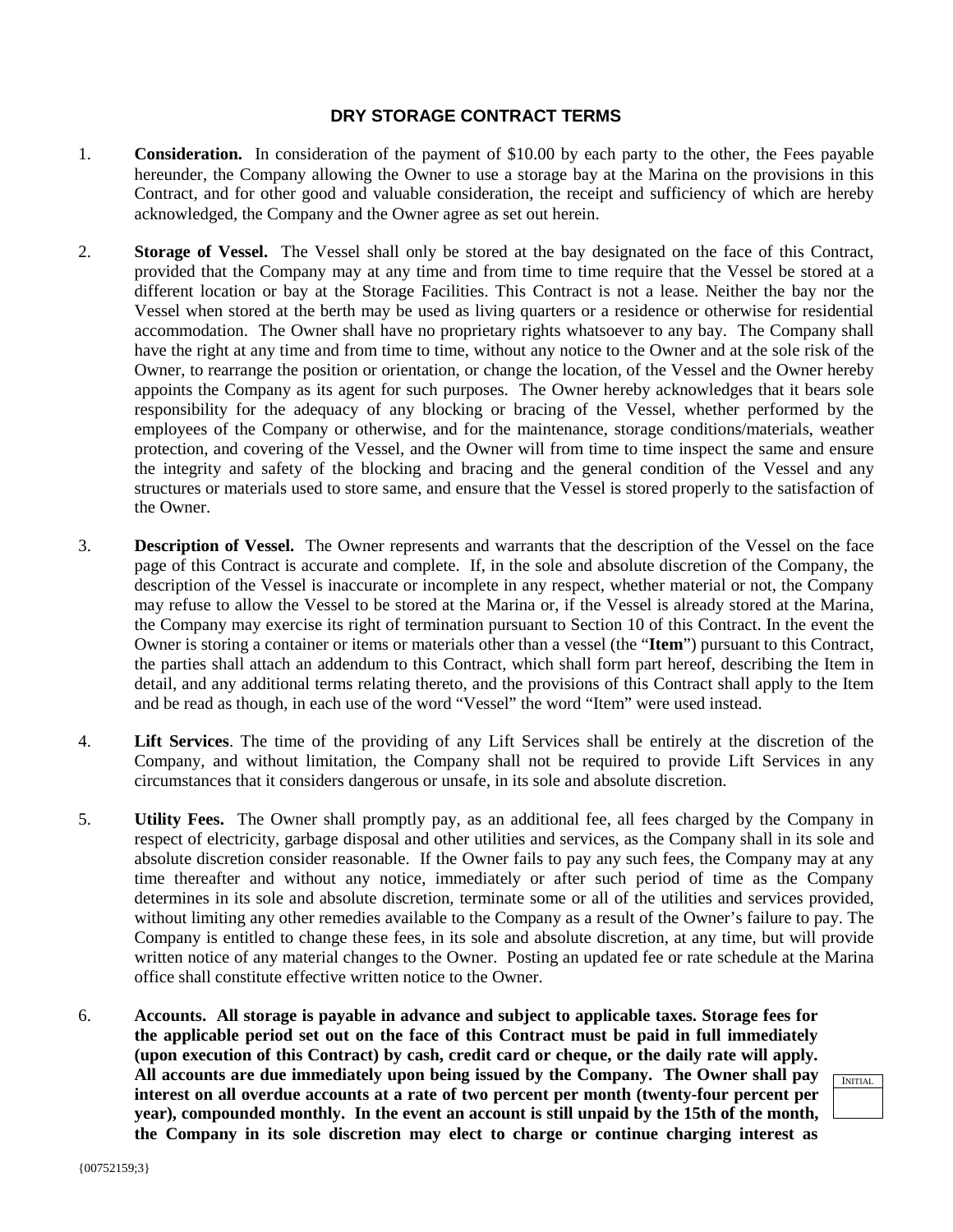## **DRY STORAGE CONTRACT TERMS**

- 1. **Consideration.** In consideration of the payment of \$10.00 by each party to the other, the Fees payable hereunder, the Company allowing the Owner to use a storage bay at the Marina on the provisions in this Contract, and for other good and valuable consideration, the receipt and sufficiency of which are hereby acknowledged, the Company and the Owner agree as set out herein.
- 2. **Storage of Vessel.** The Vessel shall only be stored at the bay designated on the face of this Contract, provided that the Company may at any time and from time to time require that the Vessel be stored at a different location or bay at the Storage Facilities. This Contract is not a lease. Neither the bay nor the Vessel when stored at the berth may be used as living quarters or a residence or otherwise for residential accommodation. The Owner shall have no proprietary rights whatsoever to any bay. The Company shall have the right at any time and from time to time, without any notice to the Owner and at the sole risk of the Owner, to rearrange the position or orientation, or change the location, of the Vessel and the Owner hereby appoints the Company as its agent for such purposes. The Owner hereby acknowledges that it bears sole responsibility for the adequacy of any blocking or bracing of the Vessel, whether performed by the employees of the Company or otherwise, and for the maintenance, storage conditions/materials, weather protection, and covering of the Vessel, and the Owner will from time to time inspect the same and ensure the integrity and safety of the blocking and bracing and the general condition of the Vessel and any structures or materials used to store same, and ensure that the Vessel is stored properly to the satisfaction of the Owner.
- 3. **Description of Vessel.** The Owner represents and warrants that the description of the Vessel on the face page of this Contract is accurate and complete. If, in the sole and absolute discretion of the Company, the description of the Vessel is inaccurate or incomplete in any respect, whether material or not, the Company may refuse to allow the Vessel to be stored at the Marina or, if the Vessel is already stored at the Marina, the Company may exercise its right of termination pursuant to Section 10 of this Contract. In the event the Owner is storing a container or items or materials other than a vessel (the "**Item**") pursuant to this Contract, the parties shall attach an addendum to this Contract, which shall form part hereof, describing the Item in detail, and any additional terms relating thereto, and the provisions of this Contract shall apply to the Item and be read as though, in each use of the word "Vessel" the word "Item" were used instead.
- 4. **Lift Services**. The time of the providing of any Lift Services shall be entirely at the discretion of the Company, and without limitation, the Company shall not be required to provide Lift Services in any circumstances that it considers dangerous or unsafe, in its sole and absolute discretion.
- 5. **Utility Fees.** The Owner shall promptly pay, as an additional fee, all fees charged by the Company in respect of electricity, garbage disposal and other utilities and services, as the Company shall in its sole and absolute discretion consider reasonable. If the Owner fails to pay any such fees, the Company may at any time thereafter and without any notice, immediately or after such period of time as the Company determines in its sole and absolute discretion, terminate some or all of the utilities and services provided, without limiting any other remedies available to the Company as a result of the Owner's failure to pay. The Company is entitled to change these fees, in its sole and absolute discretion, at any time, but will provide written notice of any material changes to the Owner. Posting an updated fee or rate schedule at the Marina office shall constitute effective written notice to the Owner.
- 6. **Accounts. All storage is payable in advance and subject to applicable taxes. Storage fees for the applicable period set out on the face of this Contract must be paid in full immediately (upon execution of this Contract) by cash, credit card or cheque, or the daily rate will apply. All accounts are due immediately upon being issued by the Company. The Owner shall pay interest on all overdue accounts at a rate of two percent per month (twenty-four percent per year), compounded monthly. In the event an account is still unpaid by the 15th of the month, the Company in its sole discretion may elect to charge or continue charging interest as**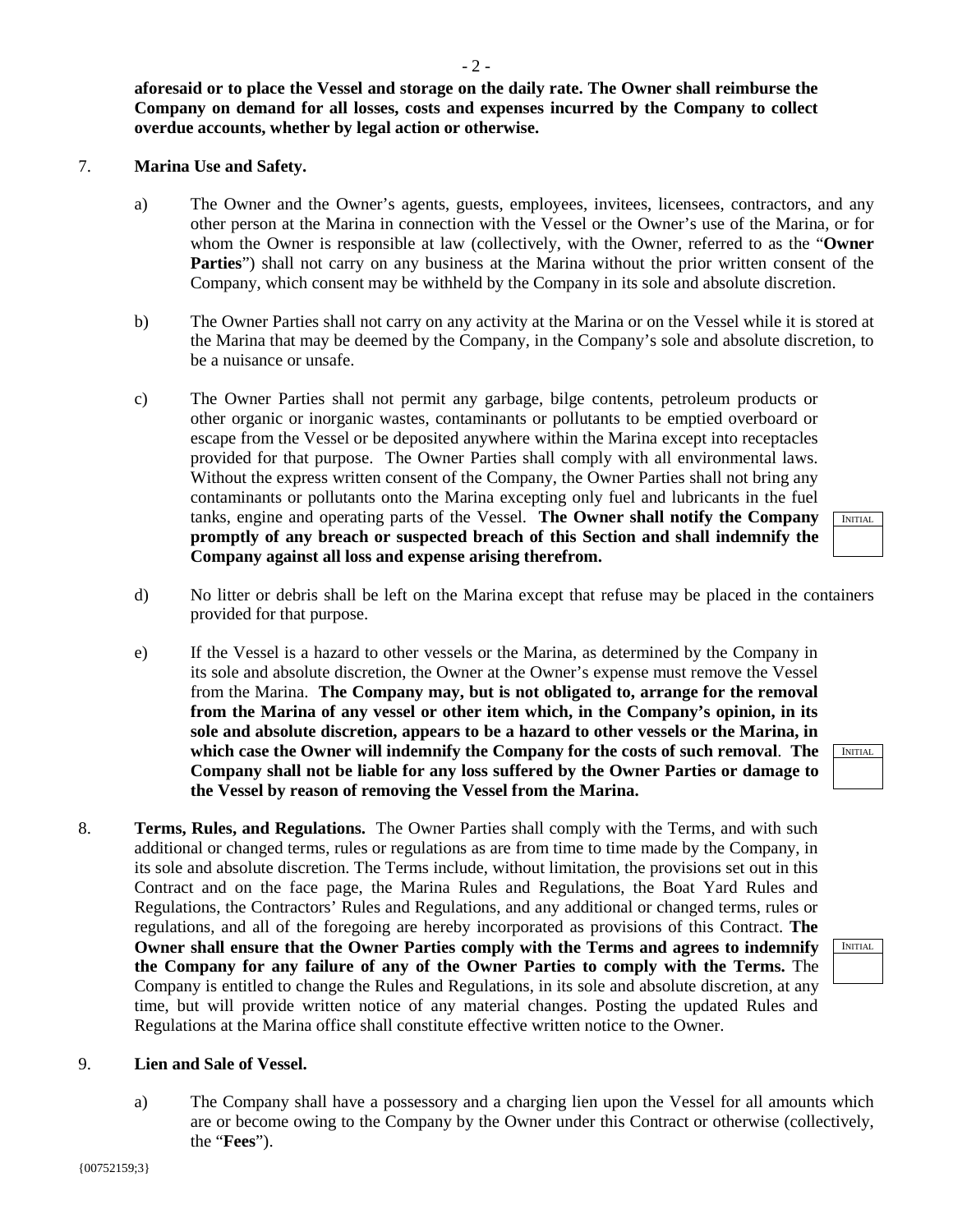**aforesaid or to place the Vessel and storage on the daily rate. The Owner shall reimburse the Company on demand for all losses, costs and expenses incurred by the Company to collect overdue accounts, whether by legal action or otherwise.**

## 7. **Marina Use and Safety.**

- a) The Owner and the Owner's agents, guests, employees, invitees, licensees, contractors, and any other person at the Marina in connection with the Vessel or the Owner's use of the Marina, or for whom the Owner is responsible at law (collectively, with the Owner, referred to as the "**Owner**  Parties") shall not carry on any business at the Marina without the prior written consent of the Company, which consent may be withheld by the Company in its sole and absolute discretion.
- b) The Owner Parties shall not carry on any activity at the Marina or on the Vessel while it is stored at the Marina that may be deemed by the Company, in the Company's sole and absolute discretion, to be a nuisance or unsafe.
- c) The Owner Parties shall not permit any garbage, bilge contents, petroleum products or other organic or inorganic wastes, contaminants or pollutants to be emptied overboard or escape from the Vessel or be deposited anywhere within the Marina except into receptacles provided for that purpose. The Owner Parties shall comply with all environmental laws. Without the express written consent of the Company, the Owner Parties shall not bring any contaminants or pollutants onto the Marina excepting only fuel and lubricants in the fuel tanks, engine and operating parts of the Vessel. **The Owner shall notify the Company promptly of any breach or suspected breach of this Section and shall indemnify the Company against all loss and expense arising therefrom.**
- d) No litter or debris shall be left on the Marina except that refuse may be placed in the containers provided for that purpose.
- e) If the Vessel is a hazard to other vessels or the Marina, as determined by the Company in its sole and absolute discretion, the Owner at the Owner's expense must remove the Vessel from the Marina. **The Company may, but is not obligated to, arrange for the removal from the Marina of any vessel or other item which, in the Company's opinion, in its sole and absolute discretion, appears to be a hazard to other vessels or the Marina, in which case the Owner will indemnify the Company for the costs of such removal**. **The Company shall not be liable for any loss suffered by the Owner Parties or damage to the Vessel by reason of removing the Vessel from the Marina.**
- 8. **Terms, Rules, and Regulations.** The Owner Parties shall comply with the Terms, and with such additional or changed terms, rules or regulations as are from time to time made by the Company, in its sole and absolute discretion. The Terms include, without limitation, the provisions set out in this Contract and on the face page, the Marina Rules and Regulations, the Boat Yard Rules and Regulations, the Contractors' Rules and Regulations, and any additional or changed terms, rules or regulations, and all of the foregoing are hereby incorporated as provisions of this Contract. **The Owner shall ensure that the Owner Parties comply with the Terms and agrees to indemnify the Company for any failure of any of the Owner Parties to comply with the Terms.** The Company is entitled to change the Rules and Regulations, in its sole and absolute discretion, at any time, but will provide written notice of any material changes. Posting the updated Rules and Regulations at the Marina office shall constitute effective written notice to the Owner.

### 9. **Lien and Sale of Vessel.**

a) The Company shall have a possessory and a charging lien upon the Vessel for all amounts which are or become owing to the Company by the Owner under this Contract or otherwise (collectively, the "**Fees**").



INITIAL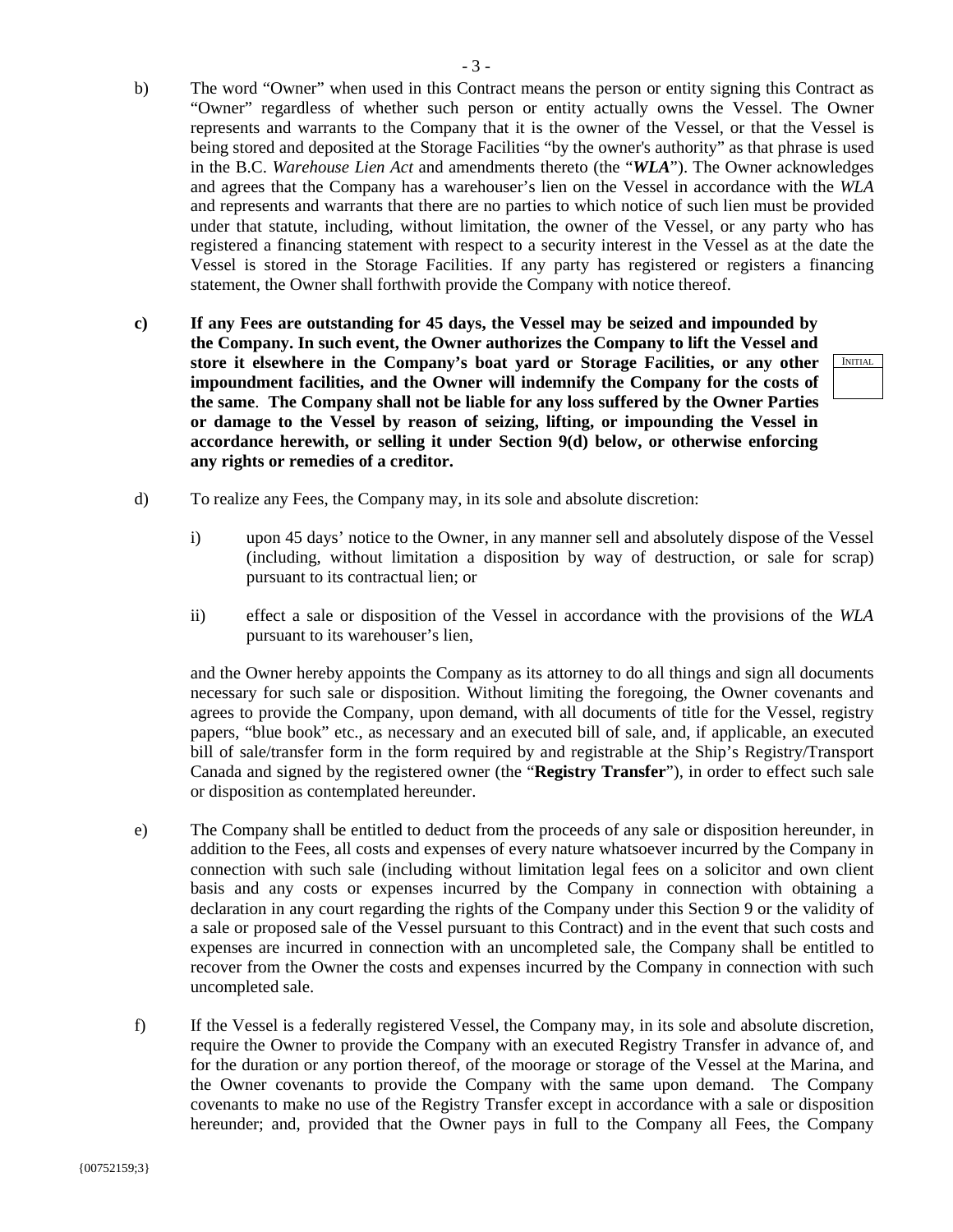- b) The word "Owner" when used in this Contract means the person or entity signing this Contract as "Owner" regardless of whether such person or entity actually owns the Vessel. The Owner represents and warrants to the Company that it is the owner of the Vessel, or that the Vessel is being stored and deposited at the Storage Facilities "by the owner's authority" as that phrase is used in the B.C. *Warehouse Lien Act* and amendments thereto (the "*WLA*"). The Owner acknowledges and agrees that the Company has a warehouser's lien on the Vessel in accordance with the *WLA*  and represents and warrants that there are no parties to which notice of such lien must be provided under that statute, including, without limitation, the owner of the Vessel, or any party who has registered a financing statement with respect to a security interest in the Vessel as at the date the Vessel is stored in the Storage Facilities. If any party has registered or registers a financing statement, the Owner shall forthwith provide the Company with notice thereof.
- **c) If any Fees are outstanding for 45 days, the Vessel may be seized and impounded by the Company. In such event, the Owner authorizes the Company to lift the Vessel and store it elsewhere in the Company's boat yard or Storage Facilities, or any other impoundment facilities, and the Owner will indemnify the Company for the costs of the same**. **The Company shall not be liable for any loss suffered by the Owner Parties or damage to the Vessel by reason of seizing, lifting, or impounding the Vessel in accordance herewith, or selling it under Section 9(d) below, or otherwise enforcing any rights or remedies of a creditor.**
- d) To realize any Fees, the Company may, in its sole and absolute discretion:
	- i) upon 45 days' notice to the Owner, in any manner sell and absolutely dispose of the Vessel (including, without limitation a disposition by way of destruction, or sale for scrap) pursuant to its contractual lien; or
	- ii) effect a sale or disposition of the Vessel in accordance with the provisions of the *WLA*  pursuant to its warehouser's lien,

and the Owner hereby appoints the Company as its attorney to do all things and sign all documents necessary for such sale or disposition. Without limiting the foregoing, the Owner covenants and agrees to provide the Company, upon demand, with all documents of title for the Vessel, registry papers, "blue book" etc., as necessary and an executed bill of sale, and, if applicable, an executed bill of sale/transfer form in the form required by and registrable at the Ship's Registry/Transport Canada and signed by the registered owner (the "**Registry Transfer**"), in order to effect such sale or disposition as contemplated hereunder.

- e) The Company shall be entitled to deduct from the proceeds of any sale or disposition hereunder, in addition to the Fees, all costs and expenses of every nature whatsoever incurred by the Company in connection with such sale (including without limitation legal fees on a solicitor and own client basis and any costs or expenses incurred by the Company in connection with obtaining a declaration in any court regarding the rights of the Company under this Section 9 or the validity of a sale or proposed sale of the Vessel pursuant to this Contract) and in the event that such costs and expenses are incurred in connection with an uncompleted sale, the Company shall be entitled to recover from the Owner the costs and expenses incurred by the Company in connection with such uncompleted sale.
- f) If the Vessel is a federally registered Vessel, the Company may, in its sole and absolute discretion, require the Owner to provide the Company with an executed Registry Transfer in advance of, and for the duration or any portion thereof, of the moorage or storage of the Vessel at the Marina, and the Owner covenants to provide the Company with the same upon demand. The Company covenants to make no use of the Registry Transfer except in accordance with a sale or disposition hereunder; and, provided that the Owner pays in full to the Company all Fees, the Company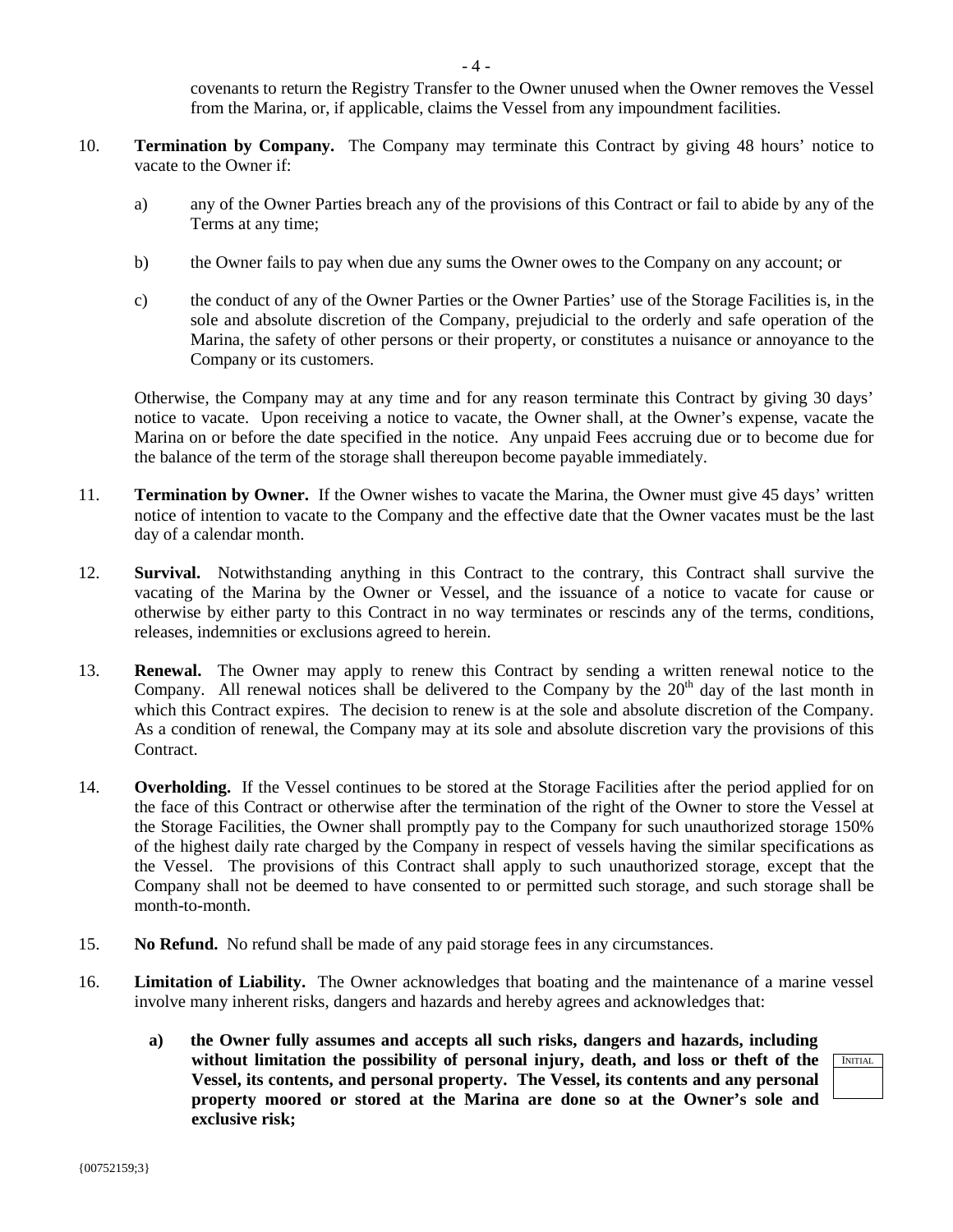covenants to return the Registry Transfer to the Owner unused when the Owner removes the Vessel from the Marina, or, if applicable, claims the Vessel from any impoundment facilities.

- 10. **Termination by Company.** The Company may terminate this Contract by giving 48 hours' notice to vacate to the Owner if:
	- a) any of the Owner Parties breach any of the provisions of this Contract or fail to abide by any of the Terms at any time;
	- b) the Owner fails to pay when due any sums the Owner owes to the Company on any account; or
	- c) the conduct of any of the Owner Parties or the Owner Parties' use of the Storage Facilities is, in the sole and absolute discretion of the Company, prejudicial to the orderly and safe operation of the Marina, the safety of other persons or their property, or constitutes a nuisance or annoyance to the Company or its customers.

Otherwise, the Company may at any time and for any reason terminate this Contract by giving 30 days' notice to vacate. Upon receiving a notice to vacate, the Owner shall, at the Owner's expense, vacate the Marina on or before the date specified in the notice. Any unpaid Fees accruing due or to become due for the balance of the term of the storage shall thereupon become payable immediately.

- 11. **Termination by Owner.** If the Owner wishes to vacate the Marina, the Owner must give 45 days' written notice of intention to vacate to the Company and the effective date that the Owner vacates must be the last day of a calendar month.
- 12. **Survival.** Notwithstanding anything in this Contract to the contrary, this Contract shall survive the vacating of the Marina by the Owner or Vessel, and the issuance of a notice to vacate for cause or otherwise by either party to this Contract in no way terminates or rescinds any of the terms, conditions, releases, indemnities or exclusions agreed to herein.
- 13. **Renewal.** The Owner may apply to renew this Contract by sending a written renewal notice to the Company. All renewal notices shall be delivered to the Company by the  $20<sup>th</sup>$  day of the last month in which this Contract expires. The decision to renew is at the sole and absolute discretion of the Company. As a condition of renewal, the Company may at its sole and absolute discretion vary the provisions of this Contract.
- 14. **Overholding.** If the Vessel continues to be stored at the Storage Facilities after the period applied for on the face of this Contract or otherwise after the termination of the right of the Owner to store the Vessel at the Storage Facilities, the Owner shall promptly pay to the Company for such unauthorized storage 150% of the highest daily rate charged by the Company in respect of vessels having the similar specifications as the Vessel. The provisions of this Contract shall apply to such unauthorized storage, except that the Company shall not be deemed to have consented to or permitted such storage, and such storage shall be month-to-month.
- 15. **No Refund.** No refund shall be made of any paid storage fees in any circumstances.
- 16. **Limitation of Liability.** The Owner acknowledges that boating and the maintenance of a marine vessel involve many inherent risks, dangers and hazards and hereby agrees and acknowledges that:
	- **a) the Owner fully assumes and accepts all such risks, dangers and hazards, including without limitation the possibility of personal injury, death, and loss or theft of the Vessel, its contents, and personal property. The Vessel, its contents and any personal property moored or stored at the Marina are done so at the Owner's sole and exclusive risk;**

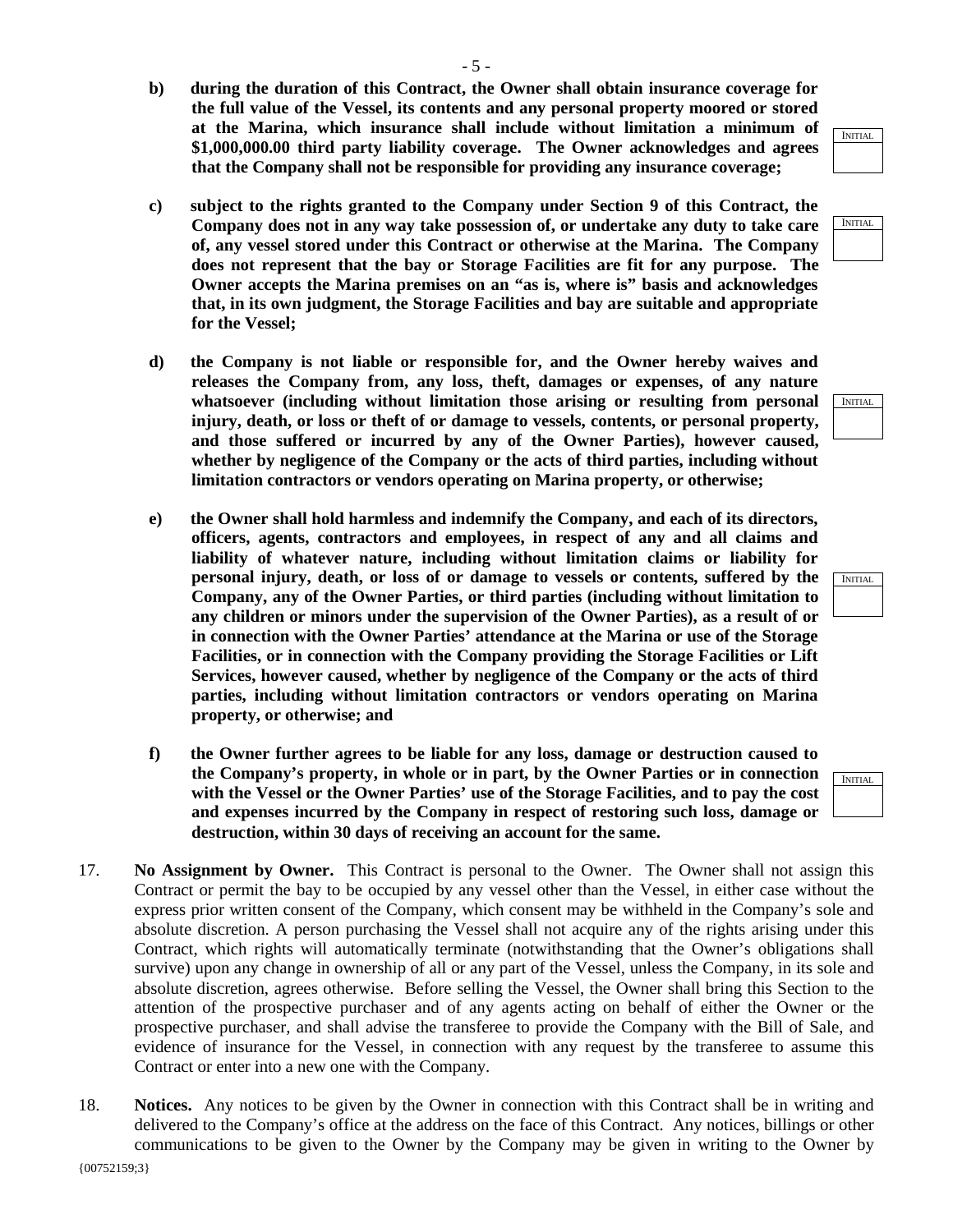- 5 -
- **b) during the duration of this Contract, the Owner shall obtain insurance coverage for the full value of the Vessel, its contents and any personal property moored or stored at the Marina, which insurance shall include without limitation a minimum of \$1,000,000.00 third party liability coverage. The Owner acknowledges and agrees that the Company shall not be responsible for providing any insurance coverage;**
- **c) subject to the rights granted to the Company under Section 9 of this Contract, the Company does not in any way take possession of, or undertake any duty to take care of, any vessel stored under this Contract or otherwise at the Marina. The Company does not represent that the bay or Storage Facilities are fit for any purpose. The Owner accepts the Marina premises on an "as is, where is" basis and acknowledges that, in its own judgment, the Storage Facilities and bay are suitable and appropriate for the Vessel;**
- **d) the Company is not liable or responsible for, and the Owner hereby waives and releases the Company from, any loss, theft, damages or expenses, of any nature whatsoever (including without limitation those arising or resulting from personal injury, death, or loss or theft of or damage to vessels, contents, or personal property, and those suffered or incurred by any of the Owner Parties), however caused, whether by negligence of the Company or the acts of third parties, including without limitation contractors or vendors operating on Marina property, or otherwise;**
- **e) the Owner shall hold harmless and indemnify the Company, and each of its directors, officers, agents, contractors and employees, in respect of any and all claims and liability of whatever nature, including without limitation claims or liability for personal injury, death, or loss of or damage to vessels or contents, suffered by the Company, any of the Owner Parties, or third parties (including without limitation to any children or minors under the supervision of the Owner Parties), as a result of or in connection with the Owner Parties' attendance at the Marina or use of the Storage Facilities, or in connection with the Company providing the Storage Facilities or Lift Services, however caused, whether by negligence of the Company or the acts of third parties, including without limitation contractors or vendors operating on Marina property, or otherwise; and**
- **f) the Owner further agrees to be liable for any loss, damage or destruction caused to the Company's property, in whole or in part, by the Owner Parties or in connection with the Vessel or the Owner Parties' use of the Storage Facilities, and to pay the cost and expenses incurred by the Company in respect of restoring such loss, damage or destruction, within 30 days of receiving an account for the same.**
- 17. **No Assignment by Owner.** This Contract is personal to the Owner. The Owner shall not assign this Contract or permit the bay to be occupied by any vessel other than the Vessel, in either case without the express prior written consent of the Company, which consent may be withheld in the Company's sole and absolute discretion. A person purchasing the Vessel shall not acquire any of the rights arising under this Contract, which rights will automatically terminate (notwithstanding that the Owner's obligations shall survive) upon any change in ownership of all or any part of the Vessel, unless the Company, in its sole and absolute discretion, agrees otherwise. Before selling the Vessel, the Owner shall bring this Section to the attention of the prospective purchaser and of any agents acting on behalf of either the Owner or the prospective purchaser, and shall advise the transferee to provide the Company with the Bill of Sale, and evidence of insurance for the Vessel, in connection with any request by the transferee to assume this Contract or enter into a new one with the Company.
- 18. **Notices.** Any notices to be given by the Owner in connection with this Contract shall be in writing and delivered to the Company's office at the address on the face of this Contract. Any notices, billings or other communications to be given to the Owner by the Company may be given in writing to the Owner by



INITIAL

INITIAL

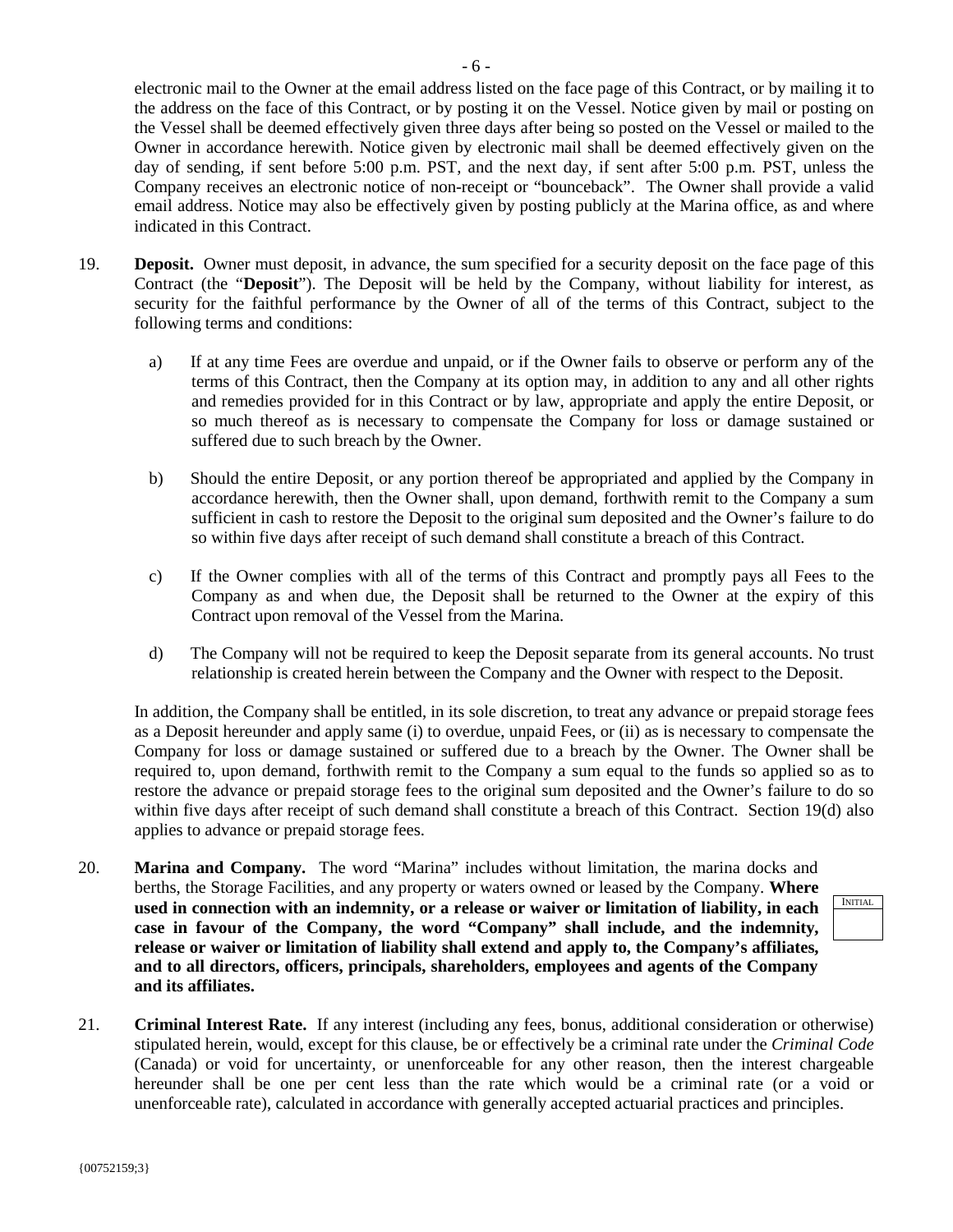electronic mail to the Owner at the email address listed on the face page of this Contract, or by mailing it to the address on the face of this Contract, or by posting it on the Vessel. Notice given by mail or posting on the Vessel shall be deemed effectively given three days after being so posted on the Vessel or mailed to the Owner in accordance herewith. Notice given by electronic mail shall be deemed effectively given on the day of sending, if sent before 5:00 p.m. PST, and the next day, if sent after 5:00 p.m. PST, unless the Company receives an electronic notice of non-receipt or "bounceback". The Owner shall provide a valid email address. Notice may also be effectively given by posting publicly at the Marina office, as and where indicated in this Contract.

- 19. **Deposit.** Owner must deposit, in advance, the sum specified for a security deposit on the face page of this Contract (the "**Deposit**"). The Deposit will be held by the Company, without liability for interest, as security for the faithful performance by the Owner of all of the terms of this Contract, subject to the following terms and conditions:
	- a) If at any time Fees are overdue and unpaid, or if the Owner fails to observe or perform any of the terms of this Contract, then the Company at its option may, in addition to any and all other rights and remedies provided for in this Contract or by law, appropriate and apply the entire Deposit, or so much thereof as is necessary to compensate the Company for loss or damage sustained or suffered due to such breach by the Owner.
	- b) Should the entire Deposit, or any portion thereof be appropriated and applied by the Company in accordance herewith, then the Owner shall, upon demand, forthwith remit to the Company a sum sufficient in cash to restore the Deposit to the original sum deposited and the Owner's failure to do so within five days after receipt of such demand shall constitute a breach of this Contract.
	- c) If the Owner complies with all of the terms of this Contract and promptly pays all Fees to the Company as and when due, the Deposit shall be returned to the Owner at the expiry of this Contract upon removal of the Vessel from the Marina.
	- d) The Company will not be required to keep the Deposit separate from its general accounts. No trust relationship is created herein between the Company and the Owner with respect to the Deposit.

In addition, the Company shall be entitled, in its sole discretion, to treat any advance or prepaid storage fees as a Deposit hereunder and apply same (i) to overdue, unpaid Fees, or (ii) as is necessary to compensate the Company for loss or damage sustained or suffered due to a breach by the Owner. The Owner shall be required to, upon demand, forthwith remit to the Company a sum equal to the funds so applied so as to restore the advance or prepaid storage fees to the original sum deposited and the Owner's failure to do so within five days after receipt of such demand shall constitute a breach of this Contract. Section 19(d) also applies to advance or prepaid storage fees.

- 20. **Marina and Company.** The word "Marina" includes without limitation, the marina docks and berths, the Storage Facilities, and any property or waters owned or leased by the Company. **Where used in connection with an indemnity, or a release or waiver or limitation of liability, in each case in favour of the Company, the word "Company" shall include, and the indemnity, release or waiver or limitation of liability shall extend and apply to, the Company's affiliates, and to all directors, officers, principals, shareholders, employees and agents of the Company and its affiliates.**
- 21. **Criminal Interest Rate.** If any interest (including any fees, bonus, additional consideration or otherwise) stipulated herein, would, except for this clause, be or effectively be a criminal rate under the *Criminal Code* (Canada) or void for uncertainty, or unenforceable for any other reason, then the interest chargeable hereunder shall be one per cent less than the rate which would be a criminal rate (or a void or unenforceable rate), calculated in accordance with generally accepted actuarial practices and principles.